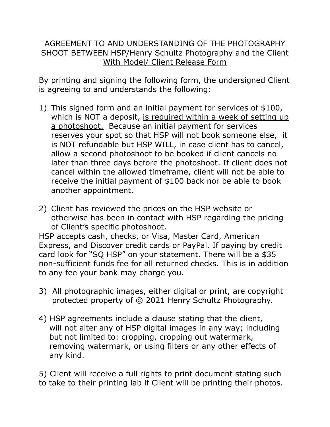## AGREEMENT TO AND UNDERSTANDING OF THE PHOTOGRAPHY SHOOT BETWEEN HSP/Henry Schultz Photography and the Client With Model/ Client Release Form

By printing and signing the following form, the undersigned Client is agreeing to and understands the following:

- 1) This signed form and an initial payment for services of \$100, which is NOT a deposit, is required within a week of setting up a photoshoot. Because an initial payment for services reserves your spot so that HSP will not book someone else, it is NOT refundable but HSP WILL, in case client has to cancel, allow a second photoshoot to be booked if client cancels no later than three days before the photoshoot. If client does not cancel within the allowed timeframe, client will not be able to receive the initial payment of \$100 back nor be able to book another appointment.
- 2) Client has reviewed the prices on the HSP website or otherwise has been in contact with HSP regarding the pricing of Client's specific photoshoot. HSP accepts cash, checks, or Visa, Master Card, American Express, and Discover credit cards or PayPal. If paying by credit card look for "SQ HSP" on your statement. There will be a \$35 non-sufficient funds fee for all returned checks. This is in addition to any fee your bank may charge you.
- 3) All photographic images, either digital or print, are copyright protected property of © 2021 Henry Schultz Photography.
- 4) HSP agreements include a clause stating that the client, will not alter any of HSP digital images in any way; including but not limited to: cropping, cropping out watermark, removing watermark, or using filters or any other effects of any kind.

5) Client will receive a full rights to print document stating such to take to their printing lab if Client will be printing their photos.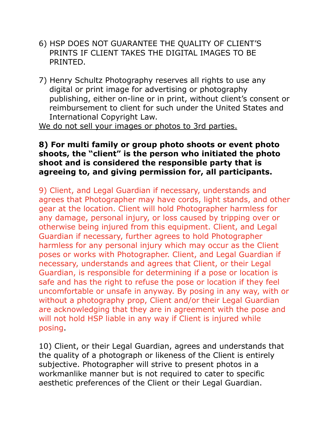- 6) HSP DOES NOT GUARANTEE THE QUALITY OF CLIENT'S PRINTS IF CLIENT TAKES THE DIGITAL IMAGES TO BE PRINTED.
- 7) Henry Schultz Photography reserves all rights to use any digital or print image for advertising or photography publishing, either on-line or in print, without client's consent or reimbursement to client for such under the United States and International Copyright Law.

We do not sell your images or photos to 3rd parties.

## **8) For multi family or group photo shoots or event photo shoots, the "client" is the person who initiated the photo shoot and is considered the responsible party that is agreeing to, and giving permission for, all participants.**

9) Client, and Legal Guardian if necessary, understands and agrees that Photographer may have cords, light stands, and other gear at the location. Client will hold Photographer harmless for any damage, personal injury, or loss caused by tripping over or otherwise being injured from this equipment. Client, and Legal Guardian if necessary, further agrees to hold Photographer harmless for any personal injury which may occur as the Client poses or works with Photographer. Client, and Legal Guardian if necessary, understands and agrees that Client, or their Legal Guardian, is responsible for determining if a pose or location is safe and has the right to refuse the pose or location if they feel uncomfortable or unsafe in anyway. By posing in any way, with or without a photography prop, Client and/or their Legal Guardian are acknowledging that they are in agreement with the pose and will not hold HSP liable in any way if Client is injured while posing.

10) Client, or their Legal Guardian, agrees and understands that the quality of a photograph or likeness of the Client is entirely subjective. Photographer will strive to present photos in a workmanlike manner but is not required to cater to specific aesthetic preferences of the Client or their Legal Guardian.